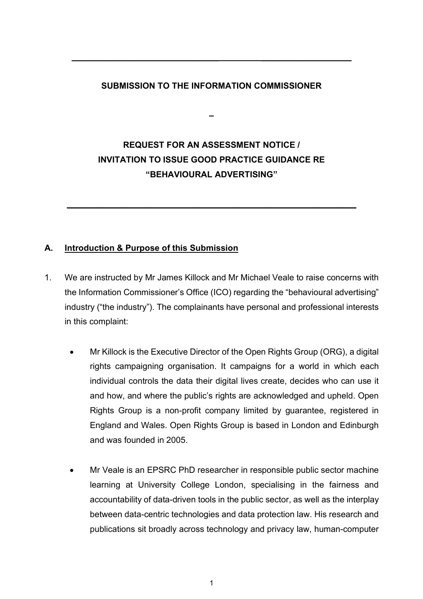## **SUBMISSION TO THE INFORMATION COMMISSIONER**

**–**

**\_\_\_\_\_\_\_\_\_\_\_\_\_\_\_\_\_\_\_\_\_\_\_\_\_\_\_\_\_\_\_ \_\_\_\_\_\_\_\_\_\_\_\_\_\_\_\_\_\_\_**

# **REQUEST FOR AN ASSESSMENT NOTICE / INVITATION TO ISSUE GOOD PRACTICE GUIDANCE RE "BEHAVIOURAL ADVERTISING"**

**\_\_\_\_\_\_\_\_\_\_\_\_\_\_\_\_\_\_\_\_\_\_\_\_\_\_\_\_\_\_\_\_\_\_\_\_\_\_\_\_\_\_\_\_\_\_\_\_\_\_\_\_\_\_\_\_\_\_\_\_\_**

# **A. Introduction & Purpose of this Submission**

- 1. We are instructed by Mr James Killock and Mr Michael Veale to raise concerns with the Information Commissioner's Office (ICO) regarding the "behavioural advertising" industry ("the industry"). The complainants have personal and professional interests in this complaint:
	- Mr Killock is the Executive Director of the Open Rights Group (ORG), a digital rights campaigning organisation. It campaigns for a world in which each individual controls the data their digital lives create, decides who can use it and how, and where the public's rights are acknowledged and upheld. Open Rights Group is a non-profit company limited by guarantee, registered in England and Wales. Open Rights Group is based in London and Edinburgh and was founded in 2005.
	- Mr Veale is an EPSRC PhD researcher in responsible public sector machine learning at University College London, specialising in the fairness and accountability of data-driven tools in the public sector, as well as the interplay between data-centric technologies and data protection law. His research and publications sit broadly across technology and privacy law, human-computer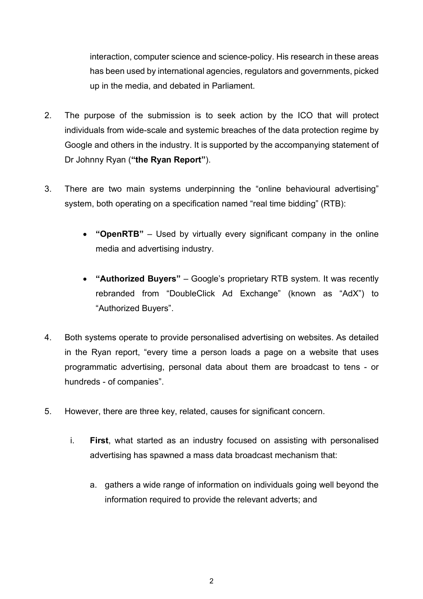interaction, computer science and science-policy. His research in these areas has been used by international agencies, regulators and governments, picked up in the media, and debated in Parliament.

- 2. The purpose of the submission is to seek action by the ICO that will protect individuals from wide-scale and systemic breaches of the data protection regime by Google and others in the industry. It is supported by the accompanying statement of Dr Johnny Ryan (**"the Ryan Report"**).
- 3. There are two main systems underpinning the "online behavioural advertising" system, both operating on a specification named "real time bidding" (RTB):
	- **"OpenRTB"**  Used by virtually every significant company in the online media and advertising industry.
	- **"Authorized Buyers"** Google's proprietary RTB system. It was recently rebranded from "DoubleClick Ad Exchange" (known as "AdX") to "Authorized Buyers".
- 4. Both systems operate to provide personalised advertising on websites. As detailed in the Ryan report, "every time a person loads a page on a website that uses programmatic advertising, personal data about them are broadcast to tens - or hundreds - of companies".
- 5. However, there are three key, related, causes for significant concern.
	- i. **First**, what started as an industry focused on assisting with personalised advertising has spawned a mass data broadcast mechanism that:
		- a. gathers a wide range of information on individuals going well beyond the information required to provide the relevant adverts; and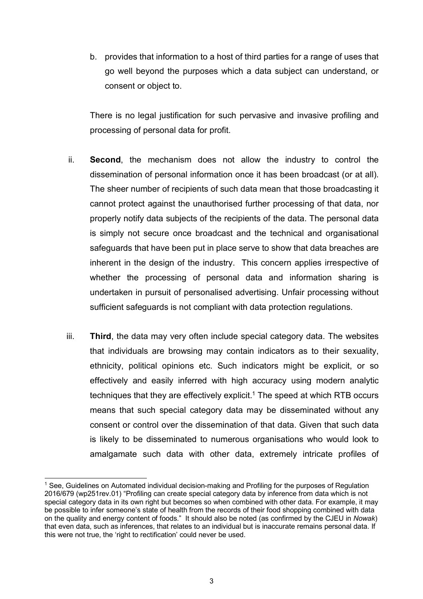b. provides that information to a host of third parties for a range of uses that go well beyond the purposes which a data subject can understand, or consent or object to.

There is no legal justification for such pervasive and invasive profiling and processing of personal data for profit.

- ii. **Second**, the mechanism does not allow the industry to control the dissemination of personal information once it has been broadcast (or at all). The sheer number of recipients of such data mean that those broadcasting it cannot protect against the unauthorised further processing of that data, nor properly notify data subjects of the recipients of the data. The personal data is simply not secure once broadcast and the technical and organisational safeguards that have been put in place serve to show that data breaches are inherent in the design of the industry. This concern applies irrespective of whether the processing of personal data and information sharing is undertaken in pursuit of personalised advertising. Unfair processing without sufficient safeguards is not compliant with data protection regulations.
- iii. **Third**, the data may very often include special category data. The websites that individuals are browsing may contain indicators as to their sexuality, ethnicity, political opinions etc. Such indicators might be explicit, or so effectively and easily inferred with high accuracy using modern analytic techniques that they are effectively explicit. <sup>1</sup> The speed at which RTB occurs means that such special category data may be disseminated without any consent or control over the dissemination of that data. Given that such data is likely to be disseminated to numerous organisations who would look to amalgamate such data with other data, extremely intricate profiles of

 <sup>1</sup> See, Guidelines on Automated individual decision-making and Profiling for the purposes of Regulation 2016/679 (wp251rev.01) "Profiling can create special category data by inference from data which is not special category data in its own right but becomes so when combined with other data. For example, it may be possible to infer someone's state of health from the records of their food shopping combined with data on the quality and energy content of foods." It should also be noted (as confirmed by the CJEU in *Nowak*) that even data, such as inferences, that relates to an individual but is inaccurate remains personal data. If this were not true, the 'right to rectification' could never be used.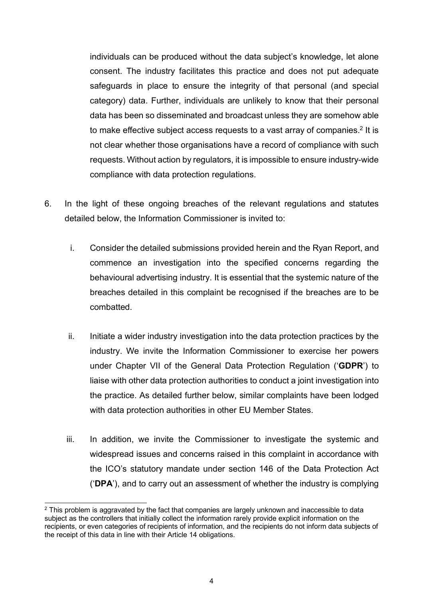individuals can be produced without the data subject's knowledge, let alone consent. The industry facilitates this practice and does not put adequate safeguards in place to ensure the integrity of that personal (and special category) data. Further, individuals are unlikely to know that their personal data has been so disseminated and broadcast unless they are somehow able to make effective subject access requests to a vast array of companies.<sup>2</sup> It is not clear whether those organisations have a record of compliance with such requests. Without action by regulators, it is impossible to ensure industry-wide compliance with data protection regulations.

- 6. In the light of these ongoing breaches of the relevant regulations and statutes detailed below, the Information Commissioner is invited to:
	- i. Consider the detailed submissions provided herein and the Ryan Report, and commence an investigation into the specified concerns regarding the behavioural advertising industry. It is essential that the systemic nature of the breaches detailed in this complaint be recognised if the breaches are to be combatted.
	- ii. Initiate a wider industry investigation into the data protection practices by the industry. We invite the Information Commissioner to exercise her powers under Chapter VII of the General Data Protection Regulation ('**GDPR**') to liaise with other data protection authorities to conduct a joint investigation into the practice. As detailed further below, similar complaints have been lodged with data protection authorities in other EU Member States.
	- iii. In addition, we invite the Commissioner to investigate the systemic and widespread issues and concerns raised in this complaint in accordance with the ICO's statutory mandate under section 146 of the Data Protection Act ('**DPA**'), and to carry out an assessment of whether the industry is complying

 $2$  This problem is aggravated by the fact that companies are largely unknown and inaccessible to data subject as the controllers that initially collect the information rarely provide explicit information on the recipients, or even categories of recipients of information, and the recipients do not inform data subjects of the receipt of this data in line with their Article 14 obligations.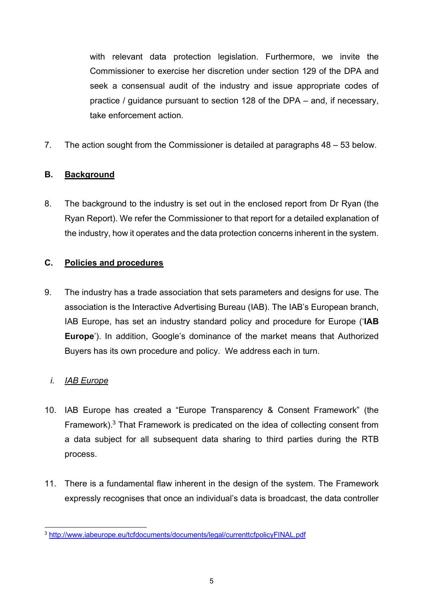with relevant data protection legislation. Furthermore, we invite the Commissioner to exercise her discretion under section 129 of the DPA and seek a consensual audit of the industry and issue appropriate codes of practice / guidance pursuant to section 128 of the DPA – and, if necessary, take enforcement action.

7. The action sought from the Commissioner is detailed at paragraphs 48 – 53 below.

# **B. Background**

8. The background to the industry is set out in the enclosed report from Dr Ryan (the Ryan Report). We refer the Commissioner to that report for a detailed explanation of the industry, how it operates and the data protection concerns inherent in the system.

# **C. Policies and procedures**

9. The industry has a trade association that sets parameters and designs for use. The association is the Interactive Advertising Bureau (IAB). The IAB's European branch, IAB Europe, has set an industry standard policy and procedure for Europe ('**IAB Europe**'). In addition, Google's dominance of the market means that Authorized Buyers has its own procedure and policy. We address each in turn.

# *i. IAB Europe*

- 10. IAB Europe has created a "Europe Transparency & Consent Framework" (the Framework).<sup>3</sup> That Framework is predicated on the idea of collecting consent from a data subject for all subsequent data sharing to third parties during the RTB process.
- 11. There is a fundamental flaw inherent in the design of the system. The Framework expressly recognises that once an individual's data is broadcast, the data controller

 <sup>3</sup> http://www.iabeurope.eu/tcfdocuments/documents/legal/currenttcfpolicyFINAL.pdf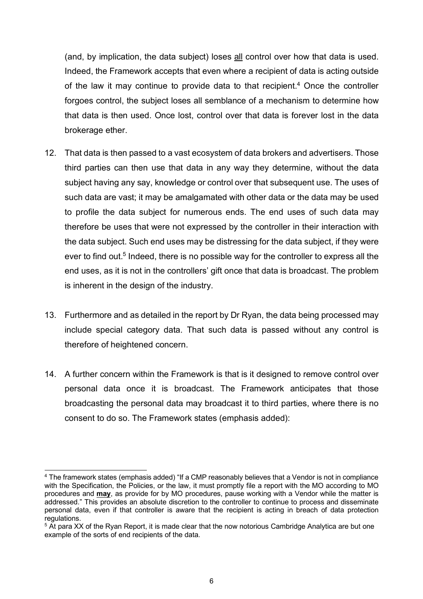(and, by implication, the data subject) loses all control over how that data is used. Indeed, the Framework accepts that even where a recipient of data is acting outside of the law it may continue to provide data to that recipient.<sup>4</sup> Once the controller forgoes control, the subject loses all semblance of a mechanism to determine how that data is then used. Once lost, control over that data is forever lost in the data brokerage ether.

- 12. That data is then passed to a vast ecosystem of data brokers and advertisers. Those third parties can then use that data in any way they determine, without the data subject having any say, knowledge or control over that subsequent use. The uses of such data are vast; it may be amalgamated with other data or the data may be used to profile the data subject for numerous ends. The end uses of such data may therefore be uses that were not expressed by the controller in their interaction with the data subject. Such end uses may be distressing for the data subject, if they were ever to find out.<sup>5</sup> Indeed, there is no possible way for the controller to express all the end uses, as it is not in the controllers' gift once that data is broadcast. The problem is inherent in the design of the industry.
- 13. Furthermore and as detailed in the report by Dr Ryan, the data being processed may include special category data. That such data is passed without any control is therefore of heightened concern.
- 14. A further concern within the Framework is that is it designed to remove control over personal data once it is broadcast. The Framework anticipates that those broadcasting the personal data may broadcast it to third parties, where there is no consent to do so. The Framework states (emphasis added):

 <sup>4</sup> The framework states (emphasis added) "If a CMP reasonably believes that a Vendor is not in compliance with the Specification, the Policies, or the law, it must promptly file a report with the MO according to MO procedures and **may**, as provide for by MO procedures, pause working with a Vendor while the matter is addressed." This provides an absolute discretion to the controller to continue to process and disseminate personal data, even if that controller is aware that the recipient is acting in breach of data protection regulations.

<sup>&</sup>lt;sup>5</sup> At para XX of the Ryan Report, it is made clear that the now notorious Cambridge Analytica are but one example of the sorts of end recipients of the data.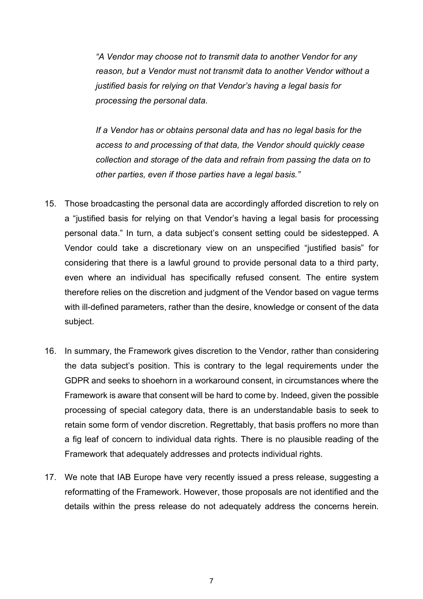*"A Vendor may choose not to transmit data to another Vendor for any reason, but a Vendor must not transmit data to another Vendor without a justified basis for relying on that Vendor's having a legal basis for processing the personal data.*

*If a Vendor has or obtains personal data and has no legal basis for the access to and processing of that data, the Vendor should quickly cease collection and storage of the data and refrain from passing the data on to other parties, even if those parties have a legal basis."*

- 15. Those broadcasting the personal data are accordingly afforded discretion to rely on a "justified basis for relying on that Vendor's having a legal basis for processing personal data." In turn, a data subject's consent setting could be sidestepped. A Vendor could take a discretionary view on an unspecified "justified basis" for considering that there is a lawful ground to provide personal data to a third party, even where an individual has specifically refused consent. The entire system therefore relies on the discretion and judgment of the Vendor based on vague terms with ill-defined parameters, rather than the desire, knowledge or consent of the data subject.
- 16. In summary, the Framework gives discretion to the Vendor, rather than considering the data subject's position. This is contrary to the legal requirements under the GDPR and seeks to shoehorn in a workaround consent, in circumstances where the Framework is aware that consent will be hard to come by. Indeed, given the possible processing of special category data, there is an understandable basis to seek to retain some form of vendor discretion. Regrettably, that basis proffers no more than a fig leaf of concern to individual data rights. There is no plausible reading of the Framework that adequately addresses and protects individual rights.
- 17. We note that IAB Europe have very recently issued a press release, suggesting a reformatting of the Framework. However, those proposals are not identified and the details within the press release do not adequately address the concerns herein.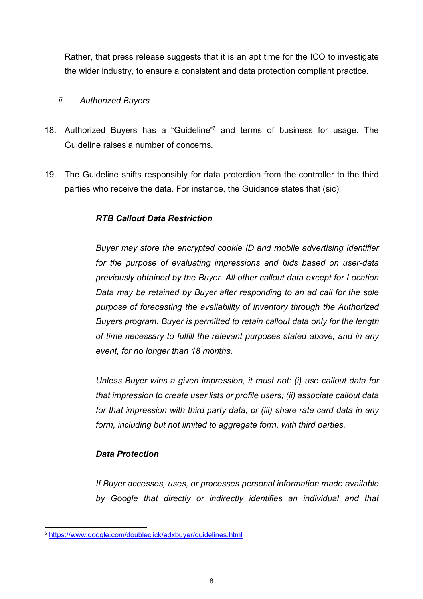Rather, that press release suggests that it is an apt time for the ICO to investigate the wider industry, to ensure a consistent and data protection compliant practice.

#### *ii. Authorized Buyers*

- 18. Authorized Buyers has a "Guideline" <sup>6</sup> and terms of business for usage. The Guideline raises a number of concerns.
- 19. The Guideline shifts responsibly for data protection from the controller to the third parties who receive the data. For instance, the Guidance states that (sic):

## *RTB Callout Data Restriction*

*Buyer may store the encrypted cookie ID and mobile advertising identifier for the purpose of evaluating impressions and bids based on user-data previously obtained by the Buyer. All other callout data except for Location Data may be retained by Buyer after responding to an ad call for the sole purpose of forecasting the availability of inventory through the Authorized Buyers program. Buyer is permitted to retain callout data only for the length of time necessary to fulfill the relevant purposes stated above, and in any event, for no longer than 18 months.* 

*Unless Buyer wins a given impression, it must not: (i) use callout data for that impression to create user lists or profile users; (ii) associate callout data for that impression with third party data; or (iii) share rate card data in any form, including but not limited to aggregate form, with third parties.*

#### *Data Protection*

*If Buyer accesses, uses, or processes personal information made available by Google that directly or indirectly identifies an individual and that* 

 <sup>6</sup> https://www.google.com/doubleclick/adxbuyer/guidelines.html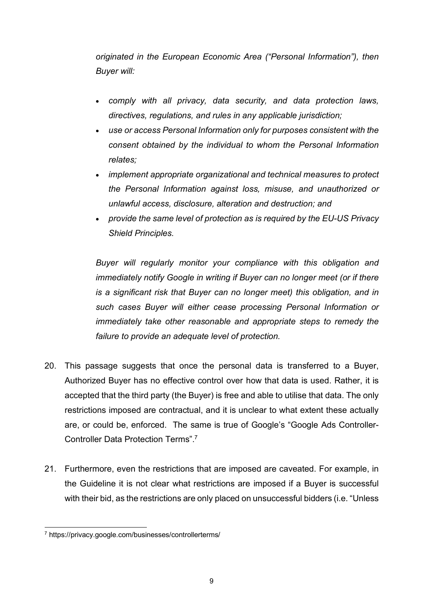*originated in the European Economic Area ("Personal Information"), then Buyer will:* 

- *comply with all privacy, data security, and data protection laws, directives, regulations, and rules in any applicable jurisdiction;*
- *use or access Personal Information only for purposes consistent with the consent obtained by the individual to whom the Personal Information relates;*
- *implement appropriate organizational and technical measures to protect the Personal Information against loss, misuse, and unauthorized or unlawful access, disclosure, alteration and destruction; and*
- *provide the same level of protection as is required by the EU-US Privacy Shield Principles.*

*Buyer will regularly monitor your compliance with this obligation and immediately notify Google in writing if Buyer can no longer meet (or if there is a significant risk that Buyer can no longer meet) this obligation, and in such cases Buyer will either cease processing Personal Information or immediately take other reasonable and appropriate steps to remedy the failure to provide an adequate level of protection.* 

- 20. This passage suggests that once the personal data is transferred to a Buyer, Authorized Buyer has no effective control over how that data is used. Rather, it is accepted that the third party (the Buyer) is free and able to utilise that data. The only restrictions imposed are contractual, and it is unclear to what extent these actually are, or could be, enforced. The same is true of Google's "Google Ads Controller-Controller Data Protection Terms".7
- 21. Furthermore, even the restrictions that are imposed are caveated. For example, in the Guideline it is not clear what restrictions are imposed if a Buyer is successful with their bid, as the restrictions are only placed on unsuccessful bidders (i.e. "Unless

 <sup>7</sup> https://privacy.google.com/businesses/controllerterms/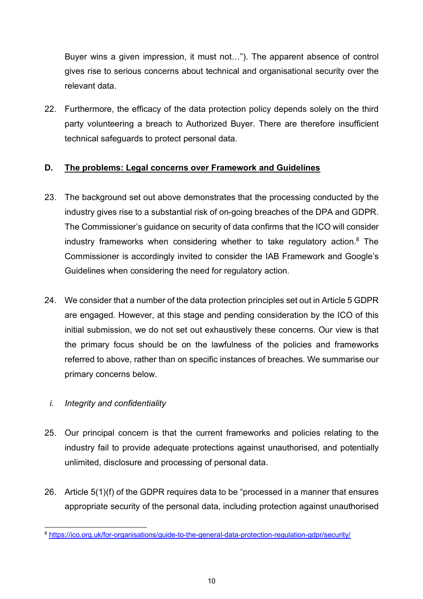Buyer wins a given impression, it must not…"). The apparent absence of control gives rise to serious concerns about technical and organisational security over the relevant data.

22. Furthermore, the efficacy of the data protection policy depends solely on the third party volunteering a breach to Authorized Buyer. There are therefore insufficient technical safeguards to protect personal data.

# **D. The problems: Legal concerns over Framework and Guidelines**

- 23. The background set out above demonstrates that the processing conducted by the industry gives rise to a substantial risk of on-going breaches of the DPA and GDPR. The Commissioner's guidance on security of data confirms that the ICO will consider industry frameworks when considering whether to take regulatory action.<sup>8</sup> The Commissioner is accordingly invited to consider the IAB Framework and Google's Guidelines when considering the need for regulatory action.
- 24. We consider that a number of the data protection principles set out in Article 5 GDPR are engaged. However, at this stage and pending consideration by the ICO of this initial submission, we do not set out exhaustively these concerns. Our view is that the primary focus should be on the lawfulness of the policies and frameworks referred to above, rather than on specific instances of breaches. We summarise our primary concerns below.

## *i. Integrity and confidentiality*

- 25. Our principal concern is that the current frameworks and policies relating to the industry fail to provide adequate protections against unauthorised, and potentially unlimited, disclosure and processing of personal data.
- 26. Article 5(1)(f) of the GDPR requires data to be "processed in a manner that ensures appropriate security of the personal data, including protection against unauthorised

 <sup>8</sup> https://ico.org.uk/for-organisations/guide-to-the-general-data-protection-regulation-gdpr/security/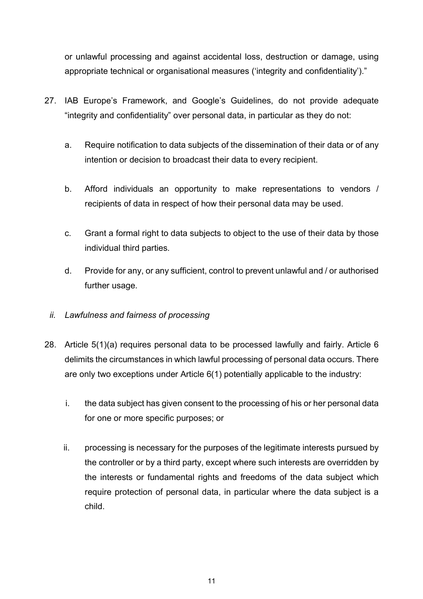or unlawful processing and against accidental loss, destruction or damage, using appropriate technical or organisational measures ('integrity and confidentiality')."

- 27. IAB Europe's Framework, and Google's Guidelines, do not provide adequate "integrity and confidentiality" over personal data, in particular as they do not:
	- a. Require notification to data subjects of the dissemination of their data or of any intention or decision to broadcast their data to every recipient.
	- b. Afford individuals an opportunity to make representations to vendors / recipients of data in respect of how their personal data may be used.
	- c. Grant a formal right to data subjects to object to the use of their data by those individual third parties.
	- d. Provide for any, or any sufficient, control to prevent unlawful and / or authorised further usage.
	- *ii. Lawfulness and fairness of processing*
- 28. Article 5(1)(a) requires personal data to be processed lawfully and fairly. Article 6 delimits the circumstances in which lawful processing of personal data occurs. There are only two exceptions under Article 6(1) potentially applicable to the industry:
	- i. the data subject has given consent to the processing of his or her personal data for one or more specific purposes; or
	- ii. processing is necessary for the purposes of the legitimate interests pursued by the controller or by a third party, except where such interests are overridden by the interests or fundamental rights and freedoms of the data subject which require protection of personal data, in particular where the data subject is a child.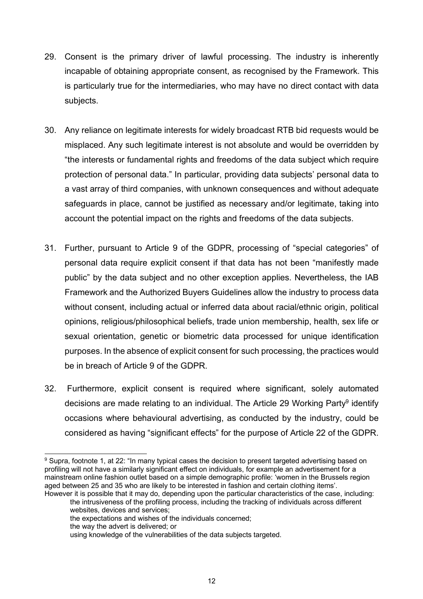- 29. Consent is the primary driver of lawful processing. The industry is inherently incapable of obtaining appropriate consent, as recognised by the Framework. This is particularly true for the intermediaries, who may have no direct contact with data subjects.
- 30. Any reliance on legitimate interests for widely broadcast RTB bid requests would be misplaced. Any such legitimate interest is not absolute and would be overridden by "the interests or fundamental rights and freedoms of the data subject which require protection of personal data." In particular, providing data subjects' personal data to a vast array of third companies, with unknown consequences and without adequate safeguards in place, cannot be justified as necessary and/or legitimate, taking into account the potential impact on the rights and freedoms of the data subjects.
- 31. Further, pursuant to Article 9 of the GDPR, processing of "special categories" of personal data require explicit consent if that data has not been "manifestly made public" by the data subject and no other exception applies. Nevertheless, the IAB Framework and the Authorized Buyers Guidelines allow the industry to process data without consent, including actual or inferred data about racial/ethnic origin, political opinions, religious/philosophical beliefs, trade union membership, health, sex life or sexual orientation, genetic or biometric data processed for unique identification purposes. In the absence of explicit consent for such processing, the practices would be in breach of Article 9 of the GDPR.
- 32. Furthermore, explicit consent is required where significant, solely automated decisions are made relating to an individual. The Article 29 Working Party<sup>9</sup> identify occasions where behavioural advertising, as conducted by the industry, could be considered as having "significant effects" for the purpose of Article 22 of the GDPR.

<sup>&</sup>lt;sup>9</sup> Supra, footnote 1, at 22: "In many typical cases the decision to present targeted advertising based on profiling will not have a similarly significant effect on individuals, for example an advertisement for a mainstream online fashion outlet based on a simple demographic profile: 'women in the Brussels region aged between 25 and 35 who are likely to be interested in fashion and certain clothing items'. However it is possible that it may do, depending upon the particular characteristics of the case, including:

the intrusiveness of the profiling process, including the tracking of individuals across different websites, devices and services;

the expectations and wishes of the individuals concerned;

the way the advert is delivered; or

using knowledge of the vulnerabilities of the data subjects targeted.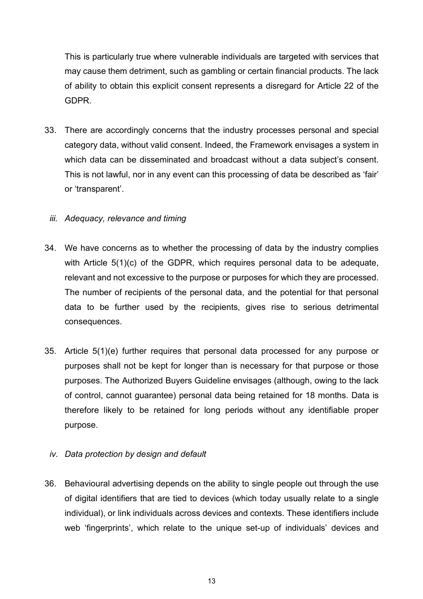This is particularly true where vulnerable individuals are targeted with services that may cause them detriment, such as gambling or certain financial products. The lack of ability to obtain this explicit consent represents a disregard for Article 22 of the GDPR.

33. There are accordingly concerns that the industry processes personal and special category data, without valid consent. Indeed, the Framework envisages a system in which data can be disseminated and broadcast without a data subject's consent. This is not lawful, nor in any event can this processing of data be described as 'fair' or 'transparent'.

## *iii. Adequacy, relevance and timing*

- 34. We have concerns as to whether the processing of data by the industry complies with Article 5(1)(c) of the GDPR, which requires personal data to be adequate, relevant and not excessive to the purpose or purposes for which they are processed. The number of recipients of the personal data, and the potential for that personal data to be further used by the recipients, gives rise to serious detrimental consequences.
- 35. Article 5(1)(e) further requires that personal data processed for any purpose or purposes shall not be kept for longer than is necessary for that purpose or those purposes. The Authorized Buyers Guideline envisages (although, owing to the lack of control, cannot guarantee) personal data being retained for 18 months. Data is therefore likely to be retained for long periods without any identifiable proper purpose.

## *iv. Data protection by design and default*

36. Behavioural advertising depends on the ability to single people out through the use of digital identifiers that are tied to devices (which today usually relate to a single individual), or link individuals across devices and contexts. These identifiers include web 'fingerprints', which relate to the unique set-up of individuals' devices and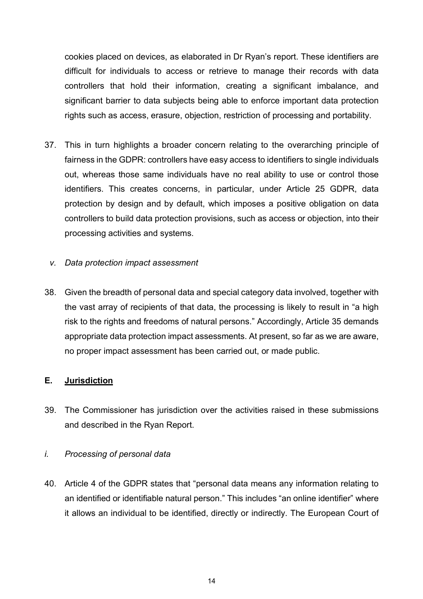cookies placed on devices, as elaborated in Dr Ryan's report. These identifiers are difficult for individuals to access or retrieve to manage their records with data controllers that hold their information, creating a significant imbalance, and significant barrier to data subjects being able to enforce important data protection rights such as access, erasure, objection, restriction of processing and portability.

- 37. This in turn highlights a broader concern relating to the overarching principle of fairness in the GDPR: controllers have easy access to identifiers to single individuals out, whereas those same individuals have no real ability to use or control those identifiers. This creates concerns, in particular, under Article 25 GDPR, data protection by design and by default, which imposes a positive obligation on data controllers to build data protection provisions, such as access or objection, into their processing activities and systems.
	- *v. Data protection impact assessment*
- 38. Given the breadth of personal data and special category data involved, together with the vast array of recipients of that data, the processing is likely to result in "a high risk to the rights and freedoms of natural persons." Accordingly, Article 35 demands appropriate data protection impact assessments. At present, so far as we are aware, no proper impact assessment has been carried out, or made public.

## **E. Jurisdiction**

39. The Commissioner has jurisdiction over the activities raised in these submissions and described in the Ryan Report.

#### *i. Processing of personal data*

40. Article 4 of the GDPR states that "personal data means any information relating to an identified or identifiable natural person." This includes "an online identifier" where it allows an individual to be identified, directly or indirectly. The European Court of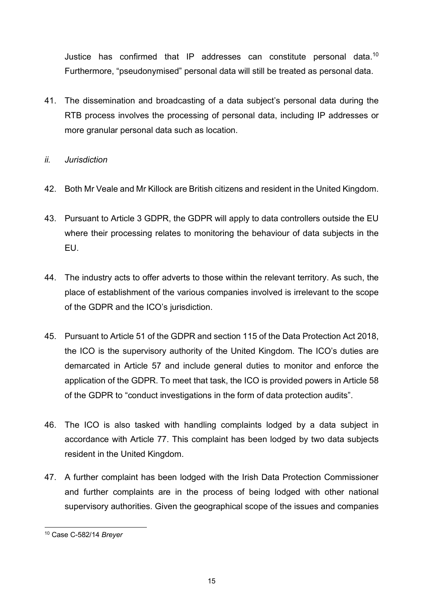Justice has confirmed that IP addresses can constitute personal data.<sup>10</sup> Furthermore, "pseudonymised" personal data will still be treated as personal data.

41. The dissemination and broadcasting of a data subject's personal data during the RTB process involves the processing of personal data, including IP addresses or more granular personal data such as location.

# *ii. Jurisdiction*

- 42. Both Mr Veale and Mr Killock are British citizens and resident in the United Kingdom.
- 43. Pursuant to Article 3 GDPR, the GDPR will apply to data controllers outside the EU where their processing relates to monitoring the behaviour of data subjects in the EU.
- 44. The industry acts to offer adverts to those within the relevant territory. As such, the place of establishment of the various companies involved is irrelevant to the scope of the GDPR and the ICO's jurisdiction.
- 45. Pursuant to Article 51 of the GDPR and section 115 of the Data Protection Act 2018, the ICO is the supervisory authority of the United Kingdom. The ICO's duties are demarcated in Article 57 and include general duties to monitor and enforce the application of the GDPR. To meet that task, the ICO is provided powers in Article 58 of the GDPR to "conduct investigations in the form of data protection audits".
- 46. The ICO is also tasked with handling complaints lodged by a data subject in accordance with Article 77. This complaint has been lodged by two data subjects resident in the United Kingdom.
- 47. A further complaint has been lodged with the Irish Data Protection Commissioner and further complaints are in the process of being lodged with other national supervisory authorities. Given the geographical scope of the issues and companies

 <sup>10</sup> Case C-582/14 *Breyer*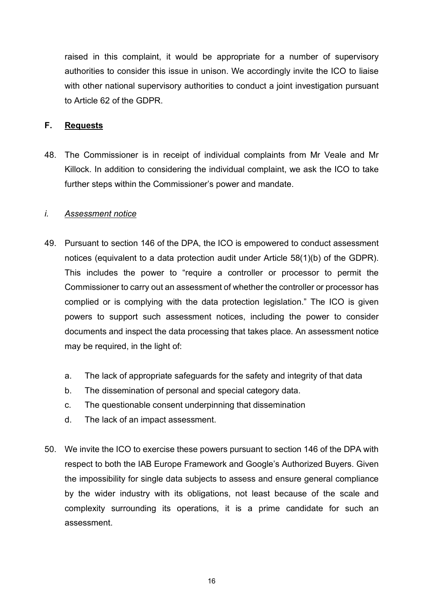raised in this complaint, it would be appropriate for a number of supervisory authorities to consider this issue in unison. We accordingly invite the ICO to liaise with other national supervisory authorities to conduct a joint investigation pursuant to Article 62 of the GDPR.

#### **F. Requests**

48. The Commissioner is in receipt of individual complaints from Mr Veale and Mr Killock. In addition to considering the individual complaint, we ask the ICO to take further steps within the Commissioner's power and mandate.

#### *i. Assessment notice*

- 49. Pursuant to section 146 of the DPA, the ICO is empowered to conduct assessment notices (equivalent to a data protection audit under Article 58(1)(b) of the GDPR). This includes the power to "require a controller or processor to permit the Commissioner to carry out an assessment of whether the controller or processor has complied or is complying with the data protection legislation." The ICO is given powers to support such assessment notices, including the power to consider documents and inspect the data processing that takes place. An assessment notice may be required, in the light of:
	- a. The lack of appropriate safeguards for the safety and integrity of that data
	- b. The dissemination of personal and special category data.
	- c. The questionable consent underpinning that dissemination
	- d. The lack of an impact assessment.
- 50. We invite the ICO to exercise these powers pursuant to section 146 of the DPA with respect to both the IAB Europe Framework and Google's Authorized Buyers. Given the impossibility for single data subjects to assess and ensure general compliance by the wider industry with its obligations, not least because of the scale and complexity surrounding its operations, it is a prime candidate for such an assessment.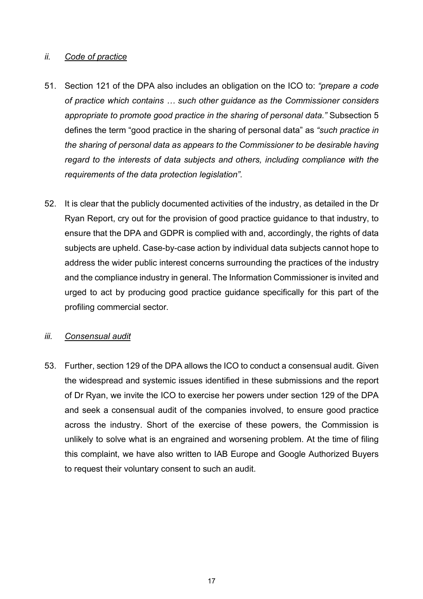## *ii. Code of practice*

- 51. Section 121 of the DPA also includes an obligation on the ICO to: *"prepare a code of practice which contains … such other guidance as the Commissioner considers appropriate to promote good practice in the sharing of personal data."* Subsection 5 defines the term "good practice in the sharing of personal data" as *"such practice in the sharing of personal data as appears to the Commissioner to be desirable having regard to the interests of data subjects and others, including compliance with the requirements of the data protection legislation".*
- 52. It is clear that the publicly documented activities of the industry, as detailed in the Dr Ryan Report, cry out for the provision of good practice guidance to that industry, to ensure that the DPA and GDPR is complied with and, accordingly, the rights of data subjects are upheld. Case-by-case action by individual data subjects cannot hope to address the wider public interest concerns surrounding the practices of the industry and the compliance industry in general. The Information Commissioner is invited and urged to act by producing good practice guidance specifically for this part of the profiling commercial sector.

#### *iii. Consensual audit*

53. Further, section 129 of the DPA allows the ICO to conduct a consensual audit. Given the widespread and systemic issues identified in these submissions and the report of Dr Ryan, we invite the ICO to exercise her powers under section 129 of the DPA and seek a consensual audit of the companies involved, to ensure good practice across the industry. Short of the exercise of these powers, the Commission is unlikely to solve what is an engrained and worsening problem. At the time of filing this complaint, we have also written to IAB Europe and Google Authorized Buyers to request their voluntary consent to such an audit.